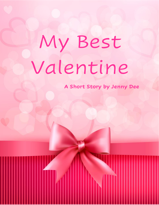## My Best Valentine

**A Short Story by Jenny Dee**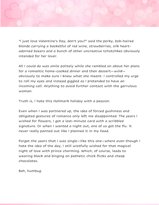"I just love Valentine's Day, don't you?" said the perky, bob-haired blonde carrying a basketful of red wine, strawberries, silk heartadorned boxers and a bunch of other uncreative tchotchkes obviously intended for her lover.

All I could do was smile politely while she rambled on about her plans for a romantic home-cooked dinner and then dessert–wink– obviously to make sure I knew what she meant. I controlled my urge to roll my eyes and instead giggled as I pretended to have an incoming call. Anything to avoid further contact with the garrulous woman.

Truth is, I hate this Hallmark holiday with a passion.

Even when I was partnered up, the idea of forced gushiness and obligated gestures of romance only left me disappointed. The years I wished for flowers, I got a last-minute card with a scribbled signature. Or when I wanted a night out, one of us got the flu. It never really panned out like I planned it in my head.

Forget the years that I was single—like this one—where even though I hate the idea of the day, I still wistfully wished for that magical night of love with prince charming. Which, of course, leads to wearing black and binging on pathetic chick flicks and cheap chocolates.

Bah, humbug.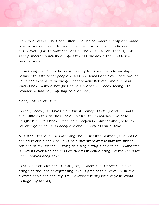Only two weeks ago, I had fallen into the commercial trap and made reservations at Perch for a quiet dinner for two, to be followed by plush overnight accommodations at the Ritz Carlton. That is, until Teddy unceremoniously dumped my ass the day after I made the reservations.

Something about how he wasn't ready for a serious relationship and wanted to date other people. Guess Christmas and New years proved to be too expensive in the gift department between me and who knows how many other girls he was probably already seeing. No wonder he had to jump ship before V-day.

Nope, not bitter at all.

In fact, Teddy just saved me a lot of money, so I'm grateful. I was even able to return the Buccio Carrara Italian leather briefcase I bought him—you know, because an expensive dinner and great sex weren't going to be an adequate enough expression of love.

As I stood there in line watching the infatuated woman get a hold of someone else's ear, I couldn't help but stare at the blatant dinnerfor-one in my basket. Putting this single stupid day aside, I wondered if I would ever find the kind of love that would bring me the romance that I craved deep down.

I really didn't hate the idea of gifts, dinners and desserts. I didn't cringe at the idea of expressing love in predictable ways. In all my protest of Valentines Day, I truly wished that just one year would indulge my fantasy.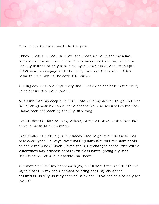

Once again, this was not to be the year.

I knew I was still too hurt from the break-up to watch my usual rom-coms or even wear black. It was more like I wanted to ignore the day instead of defy it or pity myself through it. And although I didn't want to engage with the lively lovers of the world, I didn't want to succumb to the dark side, either.

The big day was two days away and I had three choices: to mourn it, to celebrate it or to ignore it.

As I sunk into my deep blue plush sofa with my dinner-to-go and DVR full of cringeworthy nonsense to choose from, it occurred to me that I have been approaching the day all wrong.

I've idealized it, like so many others, to represent romantic love. But can't it mean so much more?

I remember as a little girl, my Daddy used to get me a beautiful red rose every year. I always loved making both him and my mom cards to show them how much I loved them. I exchanged those little corny Valentine's Day princess cards with classmates, giving my best friends some extra love sparkles on theirs.

The memory filled my heart with joy, and before I realized it, I found myself back in my car. I decided to bring back my childhood traditions, as silly as they seemed. Why should Valentine's be only for lovers?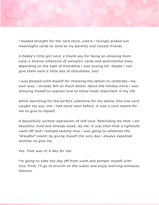

I headed straight for the card store, where I lovingly picked out meaningful cards to send to my parents and closest friends.

A Daddy's little girl card; a thank you for being an amazing Mom card; a diverse collection of sarcastic cards and sentimental ones, depending on the type of friendship I was buying for. Maybe I can give them each a little box of chocolates, too!

I was pleased with myself for choosing the option to celebrate—my own way. I already felt so much better about the holiday since I was allowing myself to express love to those most important in my life.

While searching for the perfect valentine for my bestie, this one card caught my eye; one I had never seen before. It was a card meant for me to give to myself.

A beautifully written expression of self-love. Reminding me that I am beautiful, kind and already loved…by me. It was then that a lightbulb went off and I realized exactly how I was going to celebrate the "dreadful" event: by giving myself the very day I always expected another to give me.

Yes. That was it! A day for *me*.

I'm going to take the day off from work and pamper myself with love. First, I'll go to brunch on the water and enjoy morning mimosas. Mmmm.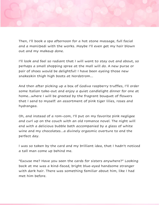

Then, I'll book a spa afternoon for a hot stone massage, full facial and a mani/pedi with the works. Maybe I'll even get my hair blown out and my makeup done.

I'll look and feel so radiant that I will want to stay out and about, so perhaps a small shopping spree at the mall will do. A new purse or pair of shoes would be delightful! I have been eyeing those new snakeskin thigh high boots at Nordstrom…

And then after picking up a box of Godiva raspberry truffles, I'll order some Italian take-out and enjoy a quiet candlelight dinner for one at home…where I will be greeted by the fragrant bouquet of flowers that I send to myself: an assortment of pink tiger lilies, roses and hydrangea.

Oh, and instead of a rom-com, I'll put on my favorite pink negligee and curl up on the couch with an old romance novel. The night will end with a delicious bubble bath accompanied by a glass of white wine and my chocolates…a divinely orgasmic overture to end the perfect day.

I was so taken by the card and my brilliant idea, that I hadn't noticed a tall man come up behind me.

"Excuse me? Have you seen the cards for sisters anywhere?" Looking back at me was a kind-faced, bright blue-eyed handsome stranger with dark hair. There was something familiar about him, like I had met him before.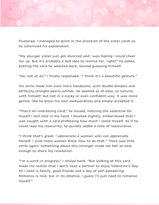

Flustered, I managed to point in the direction of the sister cards as he continued his explanation.

"My younger sister just got divorced and I was hoping I could cheer her up. But it's probably a bad idea to remind her, right?" he asked, putting the card he selected back, second guessing himself.

"No, not at all," I finally responded. "I think it's a beautiful gesture."

His smile made him even more handsome, with double dimples and perfectly straight pearly whites. He seemed so at ease, so natural with himself, but not in a cocky or even confident way. It was more gentle, like he knew his own awkwardness and simply accepted it.

"That's an interesting card," he mused, noticing the valentine for myself I still held in my hand. I blushed slightly, embarrassed that I was caught with a card professing how much I loved myself. As if he could read my insecurity, he quickly added a note of reassurance.

"I think that's great. I appreciate a woman who can appreciate herself. I wish more women knew how to do that." There was that smile again. Something about this stranger made me feel at ease enough to share my revelation.

"I'm a work in progress," I smiled back. "But looking at this card made me realize that I don't need a partner to enjoy Valentine's Day. All I need is family, good friends and a day of self-pampering. Romance is nice, but in its absence, I guess I'll just need to romance myself."